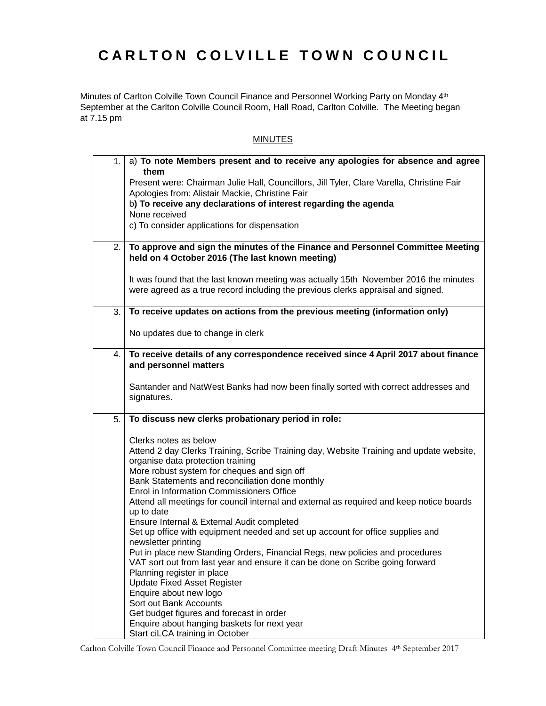## **CARLTON COLVILLE TOWN COUNCIL**

Minutes of Carlton Colville Town Council Finance and Personnel Working Party on Monday 4<sup>th</sup> September at the Carlton Colville Council Room, Hall Road, Carlton Colville. The Meeting began at 7.15 pm

## **MINUTES**

| 1. | a) To note Members present and to receive any apologies for absence and agree<br>them                                                                                    |
|----|--------------------------------------------------------------------------------------------------------------------------------------------------------------------------|
|    | Present were: Chairman Julie Hall, Councillors, Jill Tyler, Clare Varella, Christine Fair                                                                                |
|    | Apologies from: Alistair Mackie, Christine Fair                                                                                                                          |
|    | b) To receive any declarations of interest regarding the agenda                                                                                                          |
|    | None received                                                                                                                                                            |
|    | c) To consider applications for dispensation                                                                                                                             |
| 2. | To approve and sign the minutes of the Finance and Personnel Committee Meeting<br>held on 4 October 2016 (The last known meeting)                                        |
|    | It was found that the last known meeting was actually 15th November 2016 the minutes<br>were agreed as a true record including the previous clerks appraisal and signed. |
| 3. | To receive updates on actions from the previous meeting (information only)                                                                                               |
|    | No updates due to change in clerk                                                                                                                                        |
| 4. | To receive details of any correspondence received since 4 April 2017 about finance<br>and personnel matters                                                              |
|    |                                                                                                                                                                          |
|    | Santander and NatWest Banks had now been finally sorted with correct addresses and<br>signatures.                                                                        |
| 5. | To discuss new clerks probationary period in role:                                                                                                                       |
|    | Clerks notes as below                                                                                                                                                    |
|    | Attend 2 day Clerks Training, Scribe Training day, Website Training and update website,                                                                                  |
|    | organise data protection training                                                                                                                                        |
|    | More robust system for cheques and sign off                                                                                                                              |
|    | Bank Statements and reconciliation done monthly<br>Enrol in Information Commissioners Office                                                                             |
|    | Attend all meetings for council internal and external as required and keep notice boards                                                                                 |
|    | up to date                                                                                                                                                               |
|    | Ensure Internal & External Audit completed                                                                                                                               |
|    | Set up office with equipment needed and set up account for office supplies and<br>newsletter printing                                                                    |
|    | Put in place new Standing Orders, Financial Regs, new policies and procedures                                                                                            |
|    | VAT sort out from last year and ensure it can be done on Scribe going forward                                                                                            |
|    | Planning register in place                                                                                                                                               |
|    | <b>Update Fixed Asset Register</b>                                                                                                                                       |
|    | Enquire about new logo                                                                                                                                                   |
|    | Sort out Bank Accounts<br>Get budget figures and forecast in order                                                                                                       |
|    | Enquire about hanging baskets for next year                                                                                                                              |
|    | Start ciLCA training in October                                                                                                                                          |

Carlton Colville Town Council Finance and Personnel Committee meeting Draft Minutes 4 th September 2017